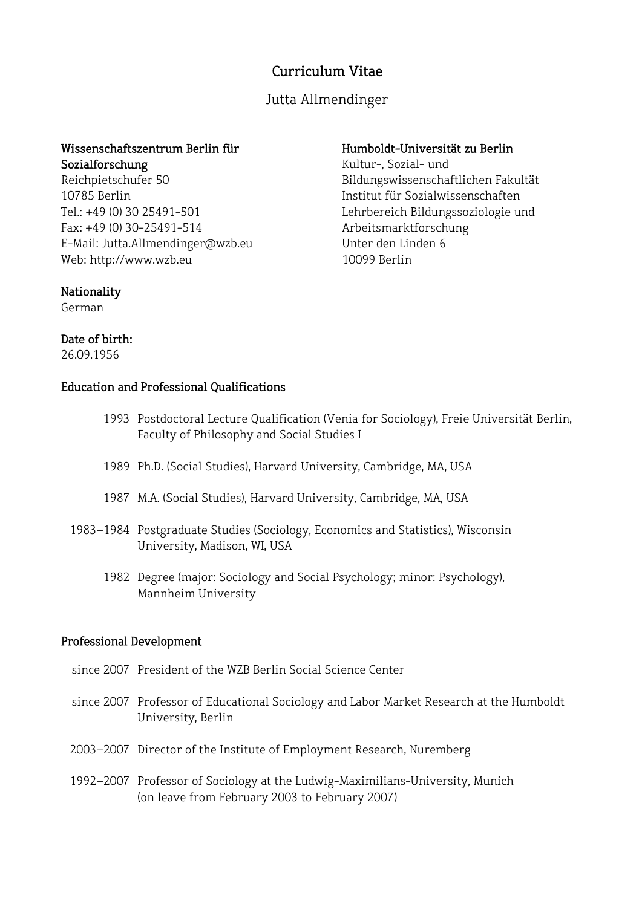# Curriculum Vitae

Jutta Allmendinger

## Wissenschaftszentrum Berlin für Sozialforschung

Reichpietschufer 50 10785 Berlin Tel.: +49 (0) 30 25491-501 Fax: +49 (0) 30-25491-514 E-Mail: Jutta.Allmendinger@wzb.eu Web: http://www.wzb.eu

### Humboldt-Universität zu Berlin Kultur-, Sozial- und

Bildungswissenschaftlichen Fakultät Institut für Sozialwissenschaften Lehrbereich Bildungssoziologie und Arbeitsmarktforschung Unter den Linden 6 10099 Berlin

# Nationality

German

# Date of birth:

26.09.1956

# Education and Professional Qualifications

- 1993 Postdoctoral Lecture Qualification (Venia for Sociology), Freie Universität Berlin, Faculty of Philosophy and Social Studies I
- 1989 Ph.D. (Social Studies), Harvard University, Cambridge, MA, USA
- 1987 M.A. (Social Studies), Harvard University, Cambridge, MA, USA
- 1983–1984 Postgraduate Studies (Sociology, Economics and Statistics), Wisconsin University, Madison, WI, USA
	- 1982 Degree (major: Sociology and Social Psychology; minor: Psychology), Mannheim University

# Professional Development

- since 2007 President of the WZB Berlin Social Science Center
- since 2007 Professor of Educational Sociology and Labor Market Research at the Humboldt University, Berlin
- 2003–2007 Director of the Institute of Employment Research, Nuremberg
- 1992–2007 Professor of Sociology at the Ludwig-Maximilians-University, Munich (on leave from February 2003 to February 2007)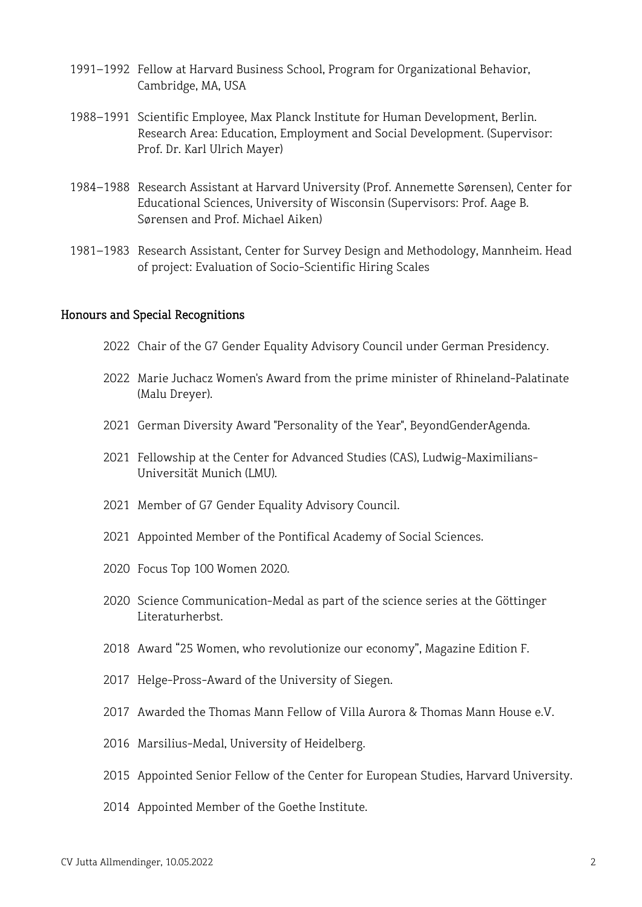- –1992 Fellow at Harvard Business School, Program for Organizational Behavior, Cambridge, MA, USA
- –1991 Scientific Employee, Max Planck Institute for Human Development, Berlin. Research Area: Education, Employment and Social Development. (Supervisor: Prof. Dr. Karl Ulrich Mayer)
- –1988 Research Assistant at Harvard University (Prof. Annemette Sørensen), Center for Educational Sciences, University of Wisconsin (Supervisors: Prof. Aage B. Sørensen and Prof. Michael Aiken)
- –1983 Research Assistant, Center for Survey Design and Methodology, Mannheim. Head of project: Evaluation of Socio-Scientific Hiring Scales

#### Honours and Special Recognitions

- Chair of the G7 Gender Equality Advisory Council under German Presidency.
- Marie Juchacz Women's Award from the prime minister of Rhineland-Palatinate (Malu Dreyer).
- German Diversity Award "Personality of the Year", BeyondGenderAgenda.
- Fellowship at the Center for Advanced Studies (CAS), Ludwig-Maximilians-Universität Munich (LMU).
- Member of G7 Gender Equality Advisory Council.
- Appointed Member of the Pontifical Academy of Social Sciences.
- Focus Top 100 Women 2020.
- Science Communication-Medal as part of the science series at the Göttinger Literaturherbst.
- Award "25 Women, who revolutionize our economy", Magazine Edition F.
- Helge-Pross-Award of the University of Siegen.
- Awarded the Thomas Mann Fellow of Villa Aurora & Thomas Mann House e.V.
- Marsilius-Medal, University of Heidelberg.
- Appointed Senior Fellow of the Center for European Studies, Harvard University.
- Appointed Member of the Goethe Institute.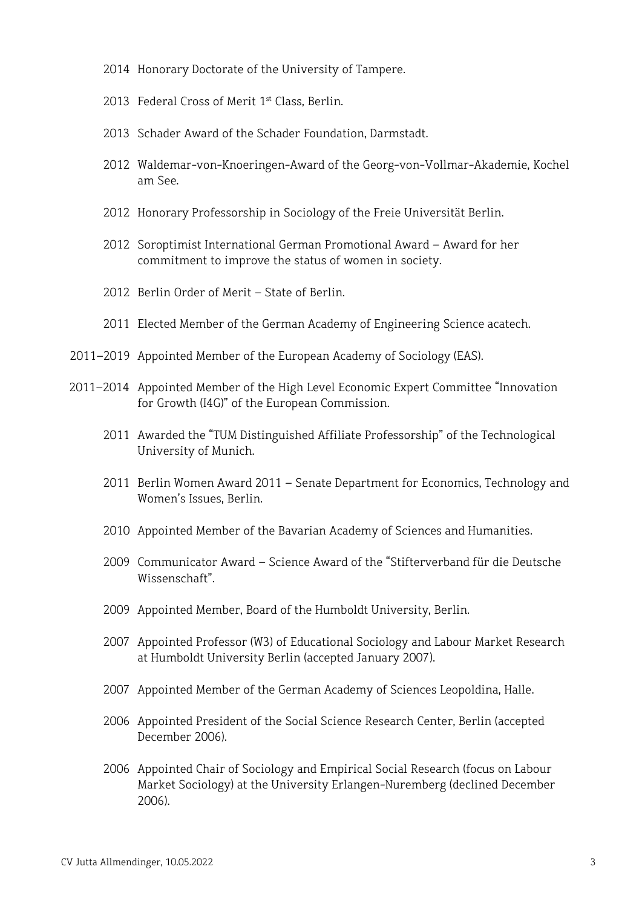- 2014 Honorary Doctorate of the University of Tampere.
- 2013 Federal Cross of Merit 1<sup>st</sup> Class, Berlin.
- 2013 Schader Award of the Schader Foundation, Darmstadt.
- 2012 Waldemar-von-Knoeringen-Award of the Georg-von-Vollmar-Akademie, Kochel am See.
- 2012 Honorary Professorship in Sociology of the Freie Universität Berlin.
- 2012 Soroptimist International German Promotional Award Award for her commitment to improve the status of women in society.
- 2012 Berlin Order of Merit State of Berlin.
- 2011 Elected Member of the German Academy of Engineering Science acatech.
- 2011–2019 Appointed Member of the European Academy of Sociology (EAS).
- 2011–2014 Appointed Member of the High Level Economic Expert Committee "Innovation for Growth (I4G)" of the European Commission.
	- 2011 Awarded the "TUM Distinguished Affiliate Professorship" of the Technological University of Munich.
	- 2011 Berlin Women Award 2011 Senate Department for Economics, Technology and Women's Issues, Berlin.
	- 2010 Appointed Member of the Bavarian Academy of Sciences and Humanities.
	- 2009 Communicator Award Science Award of the "Stifterverband für die Deutsche Wissenschaft".
	- 2009 Appointed Member, Board of the Humboldt University, Berlin.
	- 2007 Appointed Professor (W3) of Educational Sociology and Labour Market Research at Humboldt University Berlin (accepted January 2007).
	- 2007 Appointed Member of the German Academy of Sciences Leopoldina, Halle.
	- 2006 Appointed President of the Social Science Research Center, Berlin (accepted December 2006).
	- 2006 Appointed Chair of Sociology and Empirical Social Research (focus on Labour Market Sociology) at the University Erlangen-Nuremberg (declined December 2006).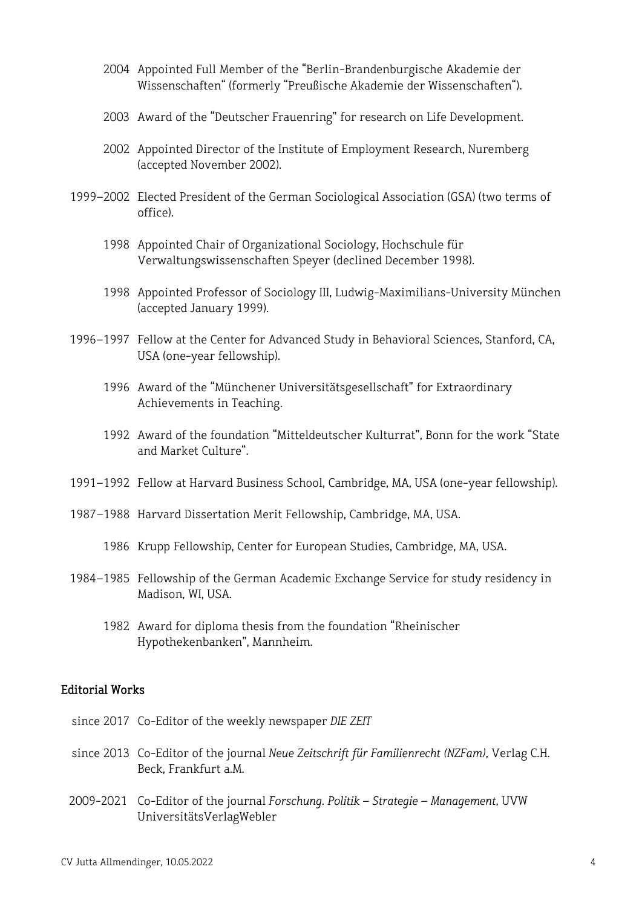- 2004 Appointed Full Member of the "Berlin-Brandenburgische Akademie der Wissenschaften" (formerly "Preußische Akademie der Wissenschaften").
- 2003 Award of the "Deutscher Frauenring" for research on Life Development.
- 2002 Appointed Director of the Institute of Employment Research, Nuremberg (accepted November 2002).
- 1999–2002 Elected President of the German Sociological Association (GSA) (two terms of office).
	- 1998 Appointed Chair of Organizational Sociology, Hochschule für Verwaltungswissenschaften Speyer (declined December 1998).
	- 1998 Appointed Professor of Sociology III, Ludwig-Maximilians-University München (accepted January 1999).
- 1996–1997 Fellow at the Center for Advanced Study in Behavioral Sciences, Stanford, CA, USA (one-year fellowship).
	- 1996 Award of the "Münchener Universitätsgesellschaft" for Extraordinary Achievements in Teaching.
	- 1992 Award of the foundation "Mitteldeutscher Kulturrat", Bonn for the work "State and Market Culture".
- 1991–1992 Fellow at Harvard Business School, Cambridge, MA, USA (one-year fellowship).
- 1987–1988 Harvard Dissertation Merit Fellowship, Cambridge, MA, USA.
	- 1986 Krupp Fellowship, Center for European Studies, Cambridge, MA, USA.
- 1984–1985 Fellowship of the German Academic Exchange Service for study residency in Madison, WI, USA.
	- 1982 Award for diploma thesis from the foundation "Rheinischer Hypothekenbanken", Mannheim.

#### Editorial Works

- since 2017 Co-Editor of the weekly newspaper *DIE ZEIT*
- since 2013 Co-Editor of the journal *Neue Zeitschrift für Familienrecht (NZFam)*, Verlag C.H. Beck, Frankfurt a.M.
- 2009-2021 Co-Editor of the journal *Forschung. Politik – Strategie – Management,* UVW UniversitätsVerlagWebler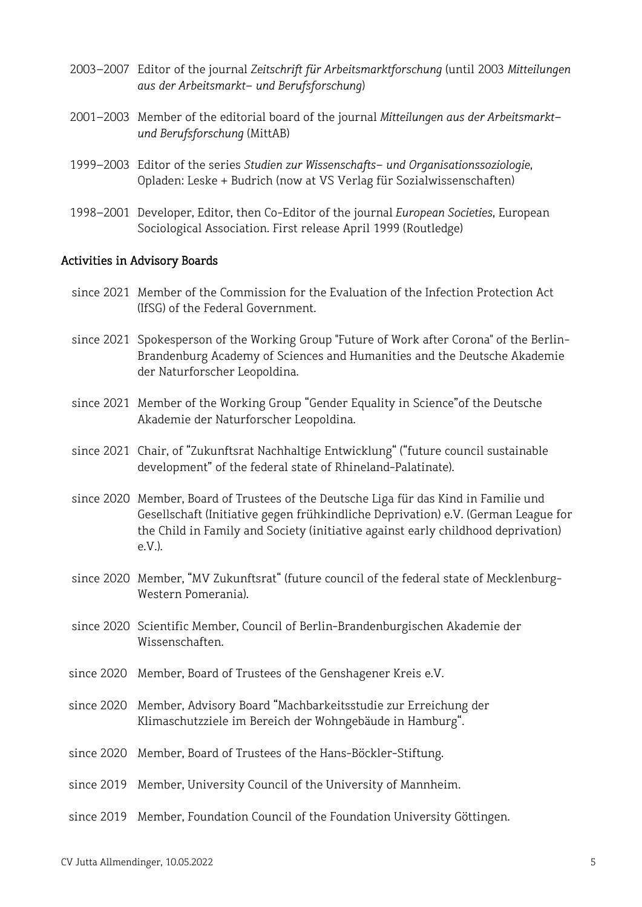- 2003–2007 Editor of the journal *Zeitschrift für Arbeitsmarktforschung* (until 2003 *Mitteilungen aus der Arbeitsmarkt- und Berufsforschung*)
- 2001–2003 Member of the editorial board of the journal *Mitteilungen aus der Arbeitsmarktund Berufsforschung* (MittAB)
- 1999–2003 Editor of the series *Studien zur Wissenschafts- und Organisationssoziologie*, Opladen: Leske + Budrich (now at VS Verlag für Sozialwissenschaften)
- 1998–2001 Developer, Editor, then Co-Editor of the journal *European Societies*, European Sociological Association. First release April 1999 (Routledge)

#### Activities in Advisory Boards

- since 2021 Member of the Commission for the Evaluation of the Infection Protection Act (IfSG) of the Federal Government.
- since 2021 Spokesperson of the Working Group "Future of Work after Corona" of the Berlin-Brandenburg Academy of Sciences and Humanities and the Deutsche Akademie der Naturforscher Leopoldina.
- since 2021 Member of the Working Group "Gender Equality in Science"of the Deutsche Akademie der Naturforscher Leopoldina.
- since 2021 Chair, of "Zukunftsrat Nachhaltige Entwicklung" ("future council sustainable development" of the federal state of Rhineland-Palatinate).
- since 2020 Member, Board of Trustees of the Deutsche Liga für das Kind in Familie und Gesellschaft (Initiative gegen frühkindliche Deprivation) e.V. (German League for the Child in Family and Society (initiative against early childhood deprivation) e.V.).
- since 2020 Member, "MV Zukunftsrat" (future council of the federal state of Mecklenburg-Western Pomerania).
- since 2020 Scientific Member, Council of Berlin-Brandenburgischen Akademie der Wissenschaften.
- since 2020 Member, Board of Trustees of the Genshagener Kreis e.V.
- since 2020 Member, Advisory Board "Machbarkeitsstudie zur Erreichung der Klimaschutzziele im Bereich der Wohngebäude in Hamburg".
- since 2020 Member, Board of Trustees of the Hans-Böckler-Stiftung.
- since 2019 Member, University Council of the University of Mannheim.
- since 2019 Member, Foundation Council of the Foundation University Göttingen.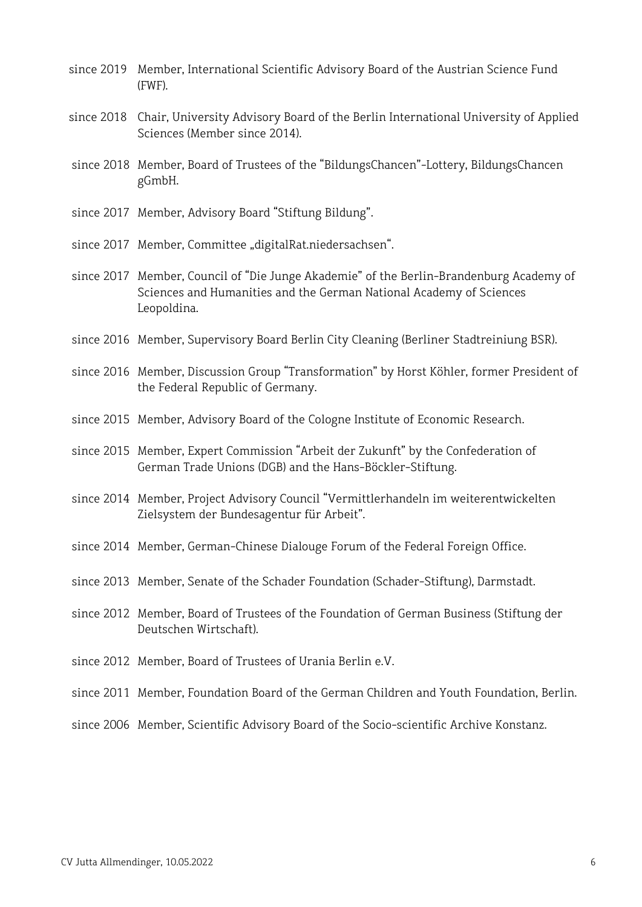- since 2019 Member, International Scientific Advisory Board of the Austrian Science Fund (FWF).
- since 2018 Chair, University Advisory Board of the Berlin International University of Applied Sciences (Member since 2014).
- since 2018 Member, Board of Trustees of the "BildungsChancen"-Lottery, BildungsChancen gGmbH.
- since 2017 Member, Advisory Board "Stiftung Bildung".
- since 2017 Member, Committee "digitalRat.niedersachsen".
- since 2017 Member, Council of "Die Junge Akademie" of the Berlin-Brandenburg Academy of Sciences and Humanities and the German National Academy of Sciences Leopoldina.
- since 2016 Member, Supervisory Board Berlin City Cleaning (Berliner Stadtreiniung BSR).
- since 2016 Member, Discussion Group "Transformation" by Horst Köhler, former President of the Federal Republic of Germany.
- since 2015 Member, Advisory Board of the Cologne Institute of Economic Research.
- since 2015 Member, Expert Commission "Arbeit der Zukunft" by the Confederation of German Trade Unions (DGB) and the Hans-Böckler-Stiftung.
- since 2014 Member, Project Advisory Council "Vermittlerhandeln im weiterentwickelten Zielsystem der Bundesagentur für Arbeit".
- since 2014 Member, German-Chinese Dialouge Forum of the Federal Foreign Office.
- since 2013 Member, Senate of the Schader Foundation (Schader-Stiftung), Darmstadt.
- since 2012 Member, Board of Trustees of the Foundation of German Business (Stiftung der Deutschen Wirtschaft).
- since 2012 Member, Board of Trustees of Urania Berlin e.V.
- since 2011 Member, Foundation Board of the German Children and Youth Foundation, Berlin.
- since 2006 Member, Scientific Advisory Board of the Socio-scientific Archive Konstanz.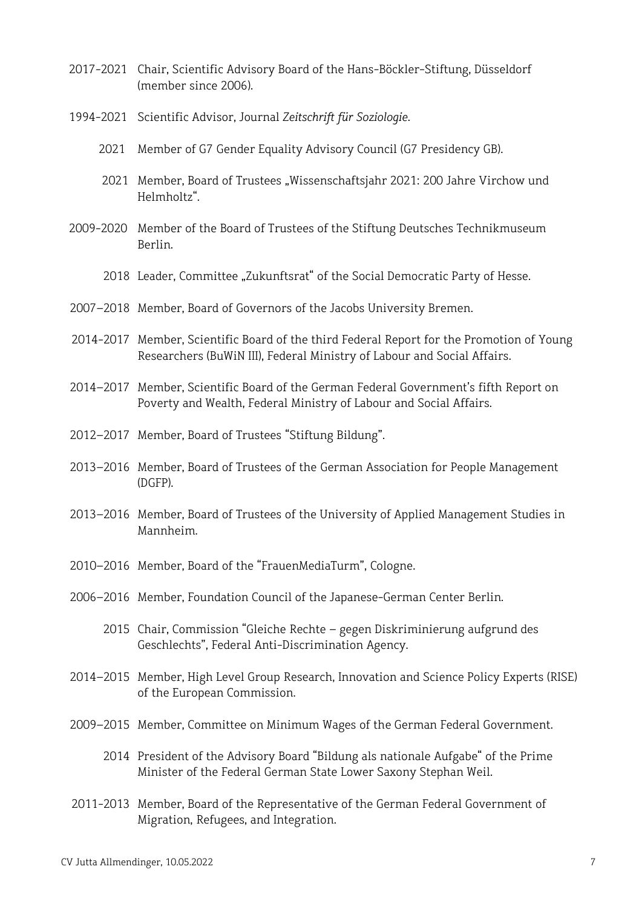- 2017-2021 Chair, Scientific Advisory Board of the Hans-Böckler-Stiftung, Düsseldorf (member since 2006).
- 1994-2021 Scientific Advisor, Journal *Zeitschrift für Soziologie*.
- 2021 Member of G7 Gender Equality Advisory Council (G7 Presidency GB).
- 2021 Member, Board of Trustees "Wissenschaftsjahr 2021: 200 Jahre Virchow und Helmholtz".
- 2009-2020 Member of the Board of Trustees of the Stiftung Deutsches Technikmuseum Berlin.
	- 2018 Leader, Committee "Zukunftsrat" of the Social Democratic Party of Hesse.
- 2007–2018 Member, Board of Governors of the Jacobs University Bremen.
- 2014-2017 Member, Scientific Board of the third Federal Report for the Promotion of Young Researchers (BuWiN III), Federal Ministry of Labour and Social Affairs.
- 2014–2017 Member, Scientific Board of the German Federal Government's fifth Report on Poverty and Wealth, Federal Ministry of Labour and Social Affairs.
- 2012–2017 Member, Board of Trustees "Stiftung Bildung".
- 2013–2016 Member, Board of Trustees of the German Association for People Management (DGFP).
- 2013–2016 Member, Board of Trustees of the University of Applied Management Studies in Mannheim.
- 2010–2016 Member, Board of the "FrauenMediaTurm", Cologne.
- 2006–2016 Member, Foundation Council of the Japanese-German Center Berlin.
	- 2015 Chair, Commission "Gleiche Rechte gegen Diskriminierung aufgrund des Geschlechts", Federal Anti-Discrimination Agency.
- 2014–2015 Member, High Level Group Research, Innovation and Science Policy Experts (RISE) of the European Commission.
- 2009–2015 Member, Committee on Minimum Wages of the German Federal Government.
	- 2014 President of the Advisory Board "Bildung als nationale Aufgabe" of the Prime Minister of the Federal German State Lower Saxony Stephan Weil.
- 2011-2013 Member, Board of the Representative of the German Federal Government of Migration, Refugees, and Integration.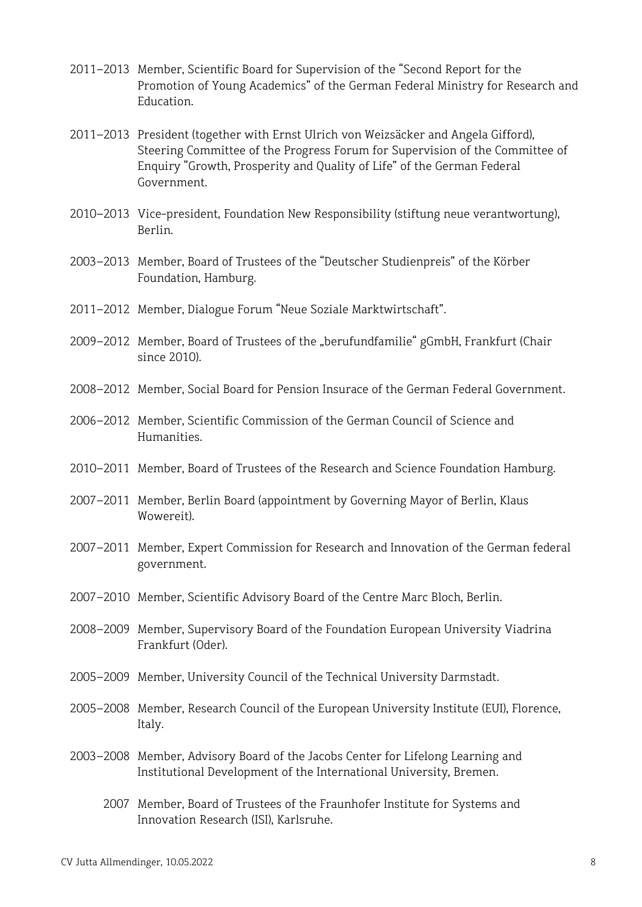- 2011–2013 Member, Scientific Board for Supervision of the "Second Report for the Promotion of Young Academics" of the German Federal Ministry for Research and Education.
- 2011–2013 President (together with Ernst Ulrich von Weizsäcker and Angela Gifford), Steering Committee of the Progress Forum for Supervision of the Committee of Enquiry "Growth, Prosperity and Quality of Life" of the German Federal Government.
- 2010–2013 Vice-president, Foundation New Responsibility (stiftung neue verantwortung), Berlin.
- 2003–2013 Member, Board of Trustees of the "Deutscher Studienpreis" of the Körber Foundation, Hamburg.
- 2011–2012 Member, Dialogue Forum "Neue Soziale Marktwirtschaft".
- 2009–2012 Member, Board of Trustees of the "berufundfamilie" gGmbH, Frankfurt (Chair since 2010).
- 2008–2012 Member, Social Board for Pension Insurace of the German Federal Government.
- 2006–2012 Member, Scientific Commission of the German Council of Science and Humanities.
- 2010–2011 Member, Board of Trustees of the Research and Science Foundation Hamburg.
- 2007–2011 Member, Berlin Board (appointment by Governing Mayor of Berlin, Klaus Wowereit).
- 2007–2011 Member, Expert Commission for Research and Innovation of the German federal government.
- 2007–2010 Member, Scientific Advisory Board of the Centre Marc Bloch, Berlin.
- 2008–2009 Member, Supervisory Board of the Foundation European University Viadrina Frankfurt (Oder).
- 2005–2009 Member, University Council of the Technical University Darmstadt.
- 2005–2008 Member, Research Council of the European University Institute (EUI), Florence, Italy.
- 2003–2008 Member, Advisory Board of the Jacobs Center for Lifelong Learning and Institutional Development of the International University, Bremen.
	- 2007 Member, Board of Trustees of the Fraunhofer Institute for Systems and Innovation Research (ISI), Karlsruhe.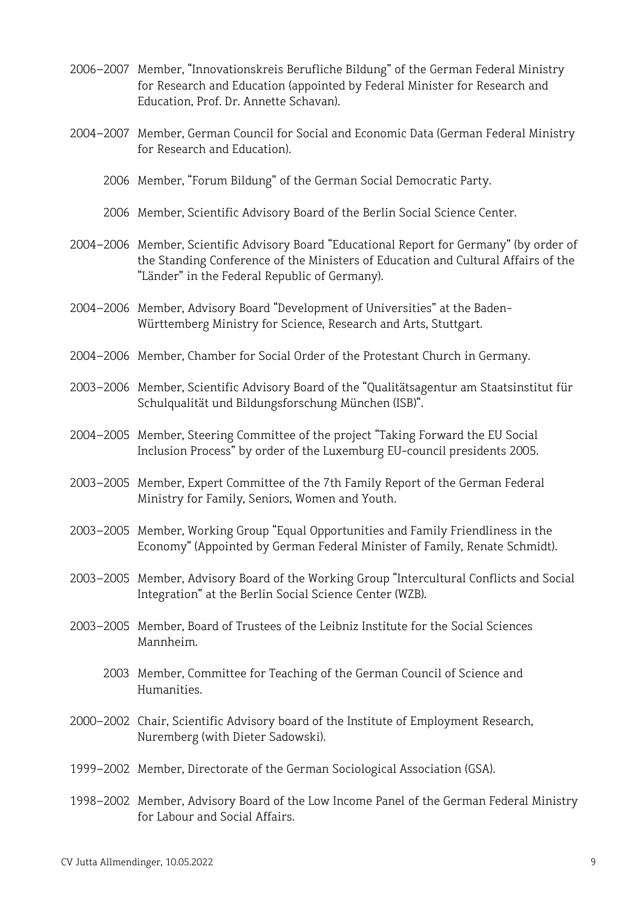- 2006–2007 Member, "Innovationskreis Berufliche Bildung" of the German Federal Ministry for Research and Education (appointed by Federal Minister for Research and Education, Prof. Dr. Annette Schavan).
- 2004–2007 Member, German Council for Social and Economic Data (German Federal Ministry for Research and Education).
	- 2006 Member, "Forum Bildung" of the German Social Democratic Party.
	- 2006 Member, Scientific Advisory Board of the Berlin Social Science Center.
- 2004–2006 Member, Scientific Advisory Board "Educational Report for Germany" (by order of the Standing Conference of the Ministers of Education and Cultural Affairs of the "Länder" in the Federal Republic of Germany).
- 2004–2006 Member, Advisory Board "Development of Universities" at the Baden-Württemberg Ministry for Science, Research and Arts, Stuttgart.
- 2004–2006 Member, Chamber for Social Order of the Protestant Church in Germany.
- 2003–2006 Member, Scientific Advisory Board of the "Qualitätsagentur am Staatsinstitut für Schulqualität und Bildungsforschung München (ISB)".
- 2004–2005 Member, Steering Committee of the project "Taking Forward the EU Social Inclusion Process" by order of the Luxemburg EU-council presidents 2005.
- 2003–2005 Member, Expert Committee of the 7th Family Report of the German Federal Ministry for Family, Seniors, Women and Youth.
- 2003–2005 Member, Working Group "Equal Opportunities and Family Friendliness in the Economy" (Appointed by German Federal Minister of Family, Renate Schmidt).
- 2003–2005 Member, Advisory Board of the Working Group "Intercultural Conflicts and Social Integration" at the Berlin Social Science Center (WZB).
- 2003–2005 Member, Board of Trustees of the Leibniz Institute for the Social Sciences Mannheim.
	- 2003 Member, Committee for Teaching of the German Council of Science and Humanities.
- 2000–2002 Chair, Scientific Advisory board of the Institute of Employment Research, Nuremberg (with Dieter Sadowski).
- 1999–2002 Member, Directorate of the German Sociological Association (GSA).
- 1998–2002 Member, Advisory Board of the Low Income Panel of the German Federal Ministry for Labour and Social Affairs.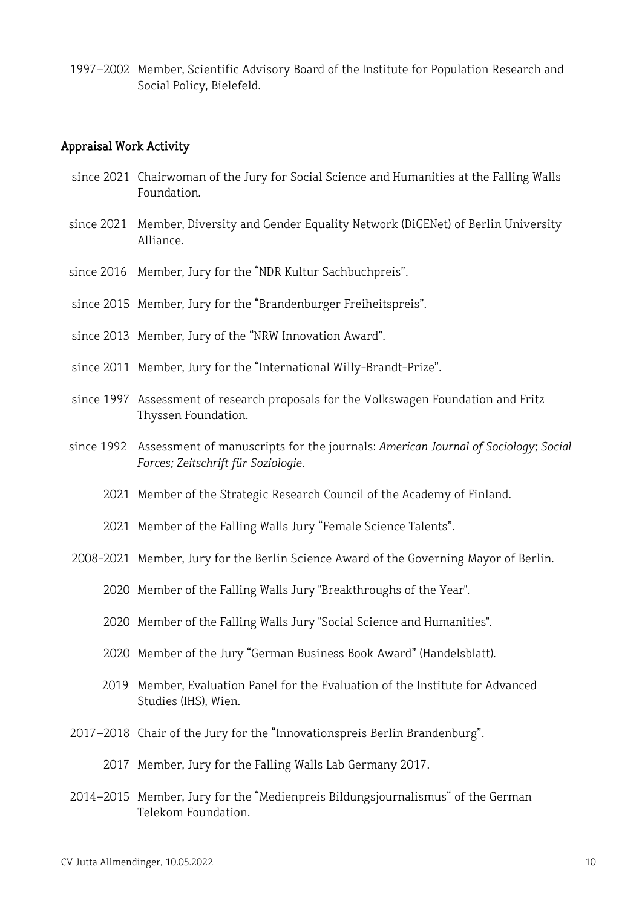1997–2002 Member, Scientific Advisory Board of the Institute for Population Research and Social Policy, Bielefeld.

#### Appraisal Work Activity

- since 2021 Chairwoman of the Jury for Social Science and Humanities at the Falling Walls Foundation.
- since 2021 Member, Diversity and Gender Equality Network (DiGENet) of Berlin University Alliance.
- since 2016 Member, Jury for the "NDR Kultur Sachbuchpreis".
- since 2015 Member, Jury for the "Brandenburger Freiheitspreis".
- since 2013 Member, Jury of the "NRW Innovation Award".
- since 2011 Member, Jury for the "International Willy-Brandt-Prize".
- since 1997 Assessment of research proposals for the Volkswagen Foundation and Fritz Thyssen Foundation.
- since 1992 Assessment of manuscripts for the journals: *American Journal of Sociology; Social Forces; Zeitschrift für Soziologie*.
	- 2021 Member of the Strategic Research Council of the Academy of Finland.
	- 2021 Member of the Falling Walls Jury "Female Science Talents".
- 2008-2021 Member, Jury for the Berlin Science Award of the Governing Mayor of Berlin.
	- 2020 Member of the Falling Walls Jury "Breakthroughs of the Year".
	- 2020 Member of the Falling Walls Jury "Social Science and Humanities".
	- 2020 Member of the Jury "German Business Book Award" (Handelsblatt).
- 2019 Member, Evaluation Panel for the Evaluation of the Institute for Advanced Studies (IHS), Wien.
- 2017–2018 Chair of the Jury for the "Innovationspreis Berlin Brandenburg".
	- 2017 Member, Jury for the Falling Walls Lab Germany 2017.
- 2014–2015 Member, Jury for the "Medienpreis Bildungsjournalismus" of the German Telekom Foundation.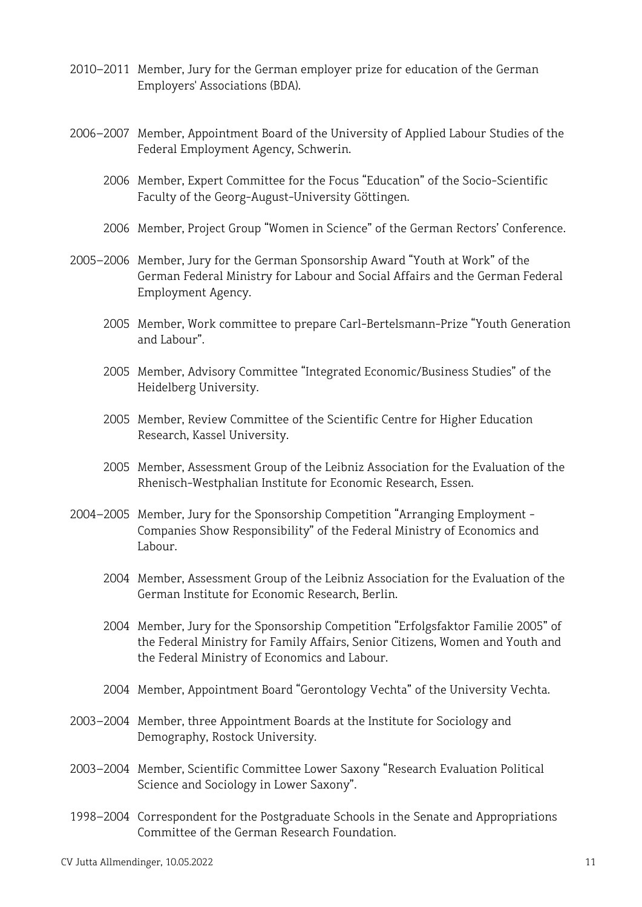- 2010–2011 Member, Jury for the German employer prize for education of the German Employers' Associations (BDA).
- 2006–2007 Member, Appointment Board of the University of Applied Labour Studies of the Federal Employment Agency, Schwerin.
	- 2006 Member, Expert Committee for the Focus "Education" of the Socio-Scientific Faculty of the Georg-August-University Göttingen.
	- 2006 Member, Project Group "Women in Science" of the German Rectors' Conference.
- 2005–2006 Member, Jury for the German Sponsorship Award "Youth at Work" of the German Federal Ministry for Labour and Social Affairs and the German Federal Employment Agency.
	- 2005 Member, Work committee to prepare Carl-Bertelsmann-Prize "Youth Generation and Labour".
	- 2005 Member, Advisory Committee "Integrated Economic/Business Studies" of the Heidelberg University.
	- 2005 Member, Review Committee of the Scientific Centre for Higher Education Research, Kassel University.
	- 2005 Member, Assessment Group of the Leibniz Association for the Evaluation of the Rhenisch-Westphalian Institute for Economic Research, Essen.
- 2004–2005 Member, Jury for the Sponsorship Competition "Arranging Employment Companies Show Responsibility" of the Federal Ministry of Economics and Labour.
	- 2004 Member, Assessment Group of the Leibniz Association for the Evaluation of the German Institute for Economic Research, Berlin.
	- 2004 Member, Jury for the Sponsorship Competition "Erfolgsfaktor Familie 2005" of the Federal Ministry for Family Affairs, Senior Citizens, Women and Youth and the Federal Ministry of Economics and Labour.
	- 2004 Member, Appointment Board "Gerontology Vechta" of the University Vechta.
- 2003–2004 Member, three Appointment Boards at the Institute for Sociology and Demography, Rostock University.
- 2003–2004 Member, Scientific Committee Lower Saxony "Research Evaluation Political Science and Sociology in Lower Saxony".
- 1998–2004 Correspondent for the Postgraduate Schools in the Senate and Appropriations Committee of the German Research Foundation.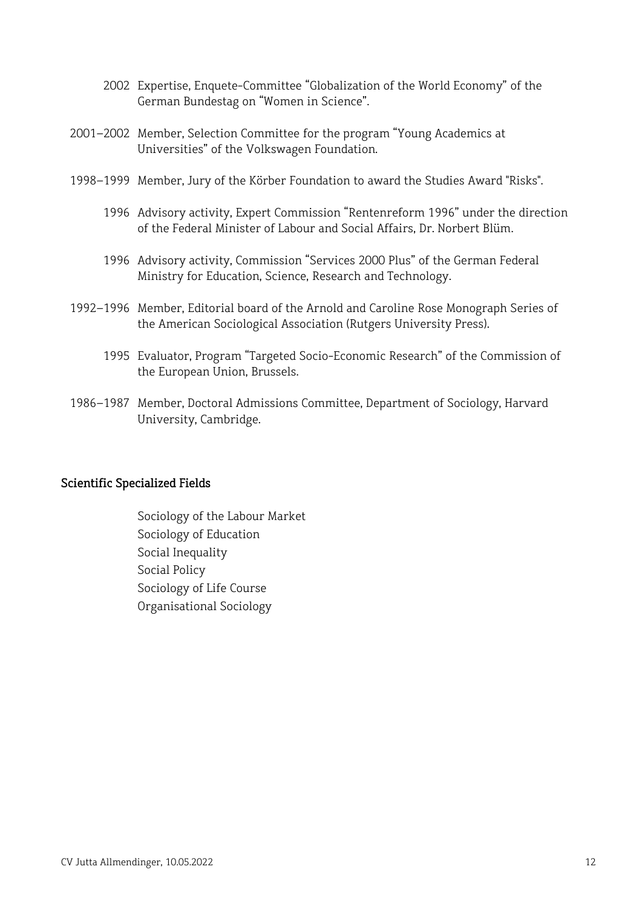- 2002 Expertise, Enquete-Committee "Globalization of the World Economy" of the German Bundestag on "Women in Science".
- 2001–2002 Member, Selection Committee for the program "Young Academics at Universities" of the Volkswagen Foundation.
- 1998–1999 Member, Jury of the Körber Foundation to award the Studies Award "Risks".
	- 1996 Advisory activity, Expert Commission "Rentenreform 1996" under the direction of the Federal Minister of Labour and Social Affairs, Dr. Norbert Blüm.
	- 1996 Advisory activity, Commission "Services 2000 Plus" of the German Federal Ministry for Education, Science, Research and Technology.
- 1992–1996 Member, Editorial board of the Arnold and Caroline Rose Monograph Series of the American Sociological Association (Rutgers University Press).
	- 1995 Evaluator, Program "Targeted Socio-Economic Research" of the Commission of the European Union, Brussels.
- 1986–1987 Member, Doctoral Admissions Committee, Department of Sociology, Harvard University, Cambridge.

### Scientific Specialized Fields

Sociology of the Labour Market Sociology of Education Social Inequality Social Policy Sociology of Life Course Organisational Sociology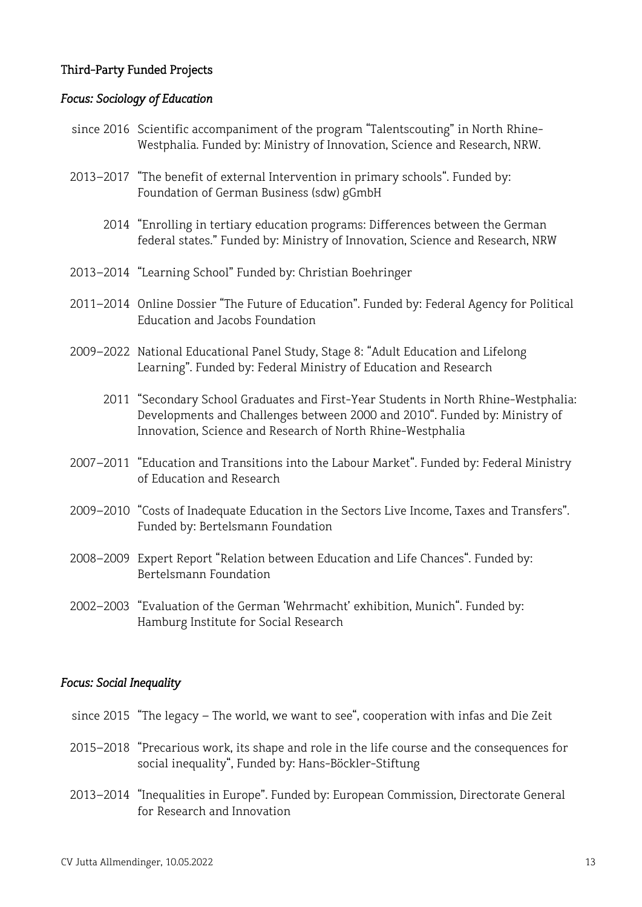### Third-Party Funded Projects

#### *Focus: Sociology of Education*

- since 2016 Scientific accompaniment of the program "Talentscouting" in North Rhine-Westphalia. Funded by: Ministry of Innovation, Science and Research, NRW.
- 2013–2017 "The benefit of external Intervention in primary schools". Funded by: Foundation of German Business (sdw) gGmbH
	- 2014 "Enrolling in tertiary education programs: Differences between the German federal states." Funded by: Ministry of Innovation, Science and Research, NRW
- 2013–2014 "Learning School" Funded by: Christian Boehringer
- 2011–2014 Online Dossier "The Future of Education". Funded by: Federal Agency for Political Education and Jacobs Foundation
- 2009–2022 National Educational Panel Study, Stage 8: "Adult Education and Lifelong Learning". Funded by: Federal Ministry of Education and Research
	- 2011 "Secondary School Graduates and First-Year Students in North Rhine-Westphalia: Developments and Challenges between 2000 and 2010". Funded by: Ministry of Innovation, Science and Research of North Rhine-Westphalia
- 2007–2011 "Education and Transitions into the Labour Market". Funded by: Federal Ministry of Education and Research
- 2009–2010 "Costs of Inadequate Education in the Sectors Live Income, Taxes and Transfers". Funded by: Bertelsmann Foundation
- 2008–2009 Expert Report "Relation between Education and Life Chances". Funded by: Bertelsmann Foundation
- 2002–2003 "Evaluation of the German 'Wehrmacht' exhibition, Munich". Funded by: Hamburg Institute for Social Research

#### *Focus: Social Inequality*

- since 2015 "The legacy The world, we want to see", cooperation with infas and Die Zeit
- 2015–2018 "Precarious work, its shape and role in the life course and the consequences for social inequality", Funded by: Hans-Böckler-Stiftung
- 2013–2014 "Inequalities in Europe". Funded by: European Commission, Directorate General for Research and Innovation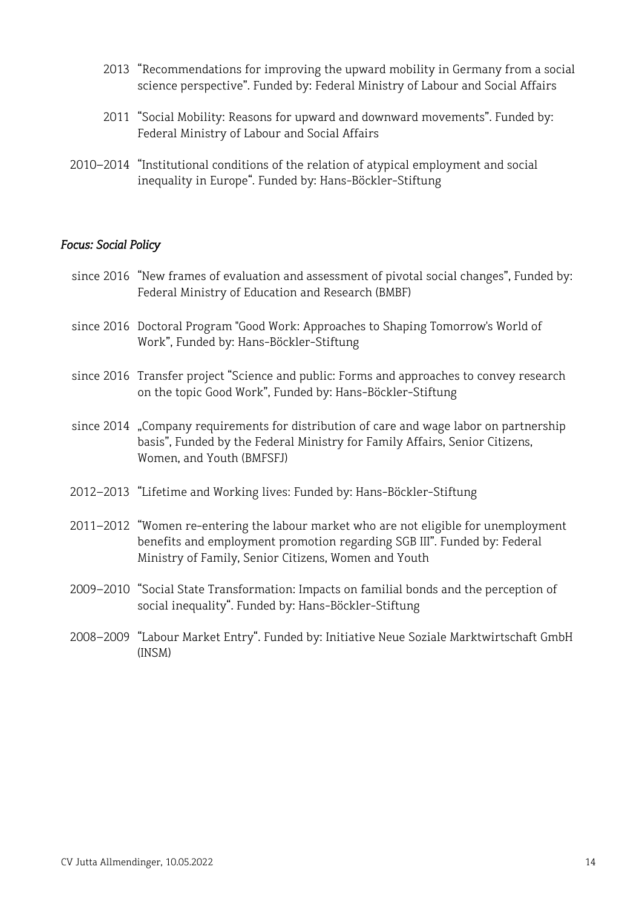- 2013 "Recommendations for improving the upward mobility in Germany from a social science perspective". Funded by: Federal Ministry of Labour and Social Affairs
- 2011 "Social Mobility: Reasons for upward and downward movements". Funded by: Federal Ministry of Labour and Social Affairs
- 2010–2014 "Institutional conditions of the relation of atypical employment and social inequality in Europe". Funded by: Hans-Böckler-Stiftung

#### *Focus: Social Policy*

- since 2016 "New frames of evaluation and assessment of pivotal social changes", Funded by: Federal Ministry of Education and Research (BMBF)
- since 2016 Doctoral Program "Good Work: Approaches to Shaping Tomorrow's World of Work", Funded by: Hans-Böckler-Stiftung
- since 2016 Transfer project "Science and public: Forms and approaches to convey research on the topic Good Work", Funded by: Hans-Böckler-Stiftung
- since 2014 "Company requirements for distribution of care and wage labor on partnership basis", Funded by the Federal Ministry for Family Affairs, Senior Citizens, Women, and Youth (BMFSFJ)
- 2012–2013 "Lifetime and Working lives: Funded by: Hans-Böckler-Stiftung
- 2011–2012 "Women re-entering the labour market who are not eligible for unemployment benefits and employment promotion regarding SGB III". Funded by: Federal Ministry of Family, Senior Citizens, Women and Youth
- 2009–2010 "Social State Transformation: Impacts on familial bonds and the perception of social inequality". Funded by: Hans-Böckler-Stiftung
- 2008–2009 "Labour Market Entry". Funded by: Initiative Neue Soziale Marktwirtschaft GmbH (INSM)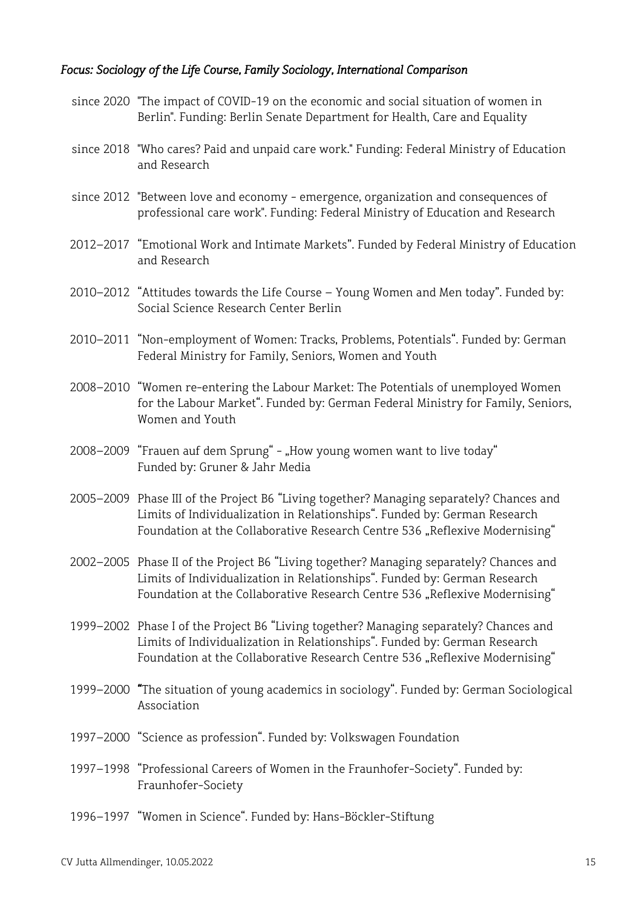### *Focus: Sociology of the Life Course, Family Sociology, International Comparison*

- since 2020 "The impact of COVID-19 on the economic and social situation of women in Berlin". Funding: Berlin Senate Department for Health, Care and Equality
- since 2018 "Who cares? Paid and unpaid care work." Funding: Federal Ministry of Education and Research
- since 2012 "Between love and economy emergence, organization and consequences of professional care work". Funding: Federal Ministry of Education and Research
- 2012–2017 "Emotional Work and Intimate Markets". Funded by Federal Ministry of Education and Research
- 2010–2012 "Attitudes towards the Life Course Young Women and Men today". Funded by: Social Science Research Center Berlin
- 2010–2011 "Non-employment of Women: Tracks, Problems, Potentials". Funded by: German Federal Ministry for Family, Seniors, Women and Youth
- 2008–2010 "Women re-entering the Labour Market: The Potentials of unemployed Women for the Labour Market". Funded by: German Federal Ministry for Family, Seniors, Women and Youth
- 2008–2009 "Frauen auf dem Sprung" "How young women want to live today" Funded by: Gruner & Jahr Media
- 2005–2009 Phase III of the Project B6 "Living together? Managing separately? Chances and Limits of Individualization in Relationships". Funded by: German Research Foundation at the Collaborative Research Centre 536 "Reflexive Modernising"
- 2002–2005 Phase II of the Project B6 "Living together? Managing separately? Chances and Limits of Individualization in Relationships". Funded by: German Research Foundation at the Collaborative Research Centre 536 "Reflexive Modernising"
- 1999–2002 Phase I of the Project B6 "Living together? Managing separately? Chances and Limits of Individualization in Relationships". Funded by: German Research Foundation at the Collaborative Research Centre 536 "Reflexive Modernising"
- 1999–2000 *"*The situation of young academics in sociology". Funded by: German Sociological Association
- 1997–2000 "Science as profession". Funded by: Volkswagen Foundation
- 1997–1998 "Professional Careers of Women in the Fraunhofer-Society". Funded by: Fraunhofer-Society
- 1996–1997 "Women in Science". Funded by: Hans-Böckler-Stiftung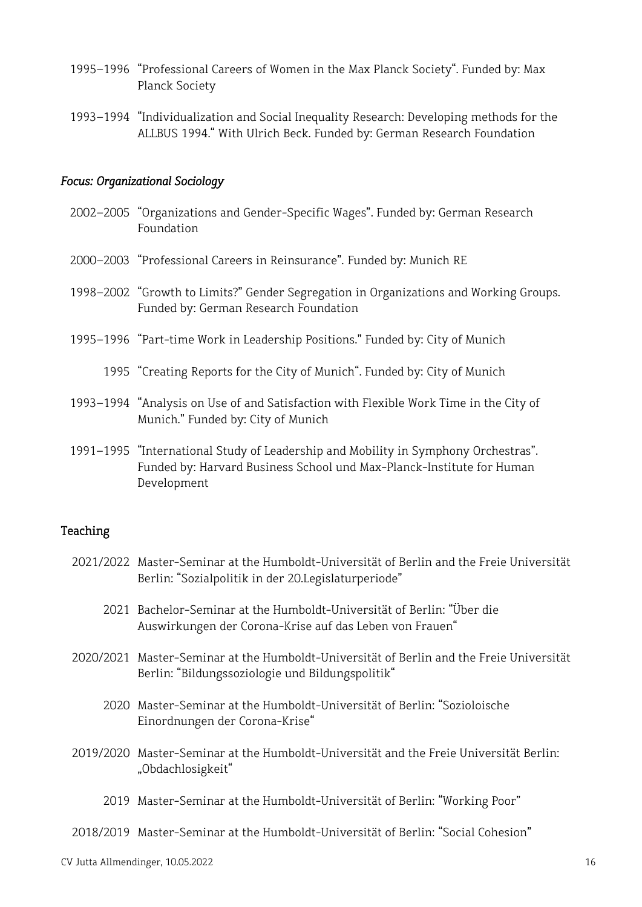- 1995–1996 "Professional Careers of Women in the Max Planck Society". Funded by: Max Planck Society
- 1993–1994 "Individualization and Social Inequality Research: Developing methods for the ALLBUS 1994." With Ulrich Beck. Funded by: German Research Foundation

#### *Focus: Organizational Sociology*

- 2002–2005 "Organizations and Gender-Specific Wages". Funded by: German Research Foundation
- 2000–2003 "Professional Careers in Reinsurance". Funded by: Munich RE
- 1998–2002 "Growth to Limits?" Gender Segregation in Organizations and Working Groups. Funded by: German Research Foundation
- 1995–1996 "Part-time Work in Leadership Positions." Funded by: City of Munich
	- 1995 "Creating Reports for the City of Munich". Funded by: City of Munich
- 1993–1994 "Analysis on Use of and Satisfaction with Flexible Work Time in the City of Munich." Funded by: City of Munich
- 1991–1995 "International Study of Leadership and Mobility in Symphony Orchestras". Funded by: Harvard Business School und Max-Planck-Institute for Human Development

#### Teaching

- 2021/2022 Master-Seminar at the Humboldt-Universität of Berlin and the Freie Universität Berlin: "Sozialpolitik in der 20.Legislaturperiode"
	- 2021 Bachelor-Seminar at the Humboldt-Universität of Berlin: "Über die Auswirkungen der Corona-Krise auf das Leben von Frauen"
- 2020/2021 Master-Seminar at the Humboldt-Universität of Berlin and the Freie Universität Berlin: "Bildungssoziologie und Bildungspolitik"
	- 2020 Master-Seminar at the Humboldt-Universität of Berlin: "Sozioloische Einordnungen der Corona-Krise"
- 2019/2020 Master-Seminar at the Humboldt-Universität and the Freie Universität Berlin: "Obdachlosigkeit"
	- 2019 Master-Seminar at the Humboldt-Universität of Berlin: "Working Poor"
- 2018/2019 Master-Seminar at the Humboldt-Universität of Berlin: "Social Cohesion"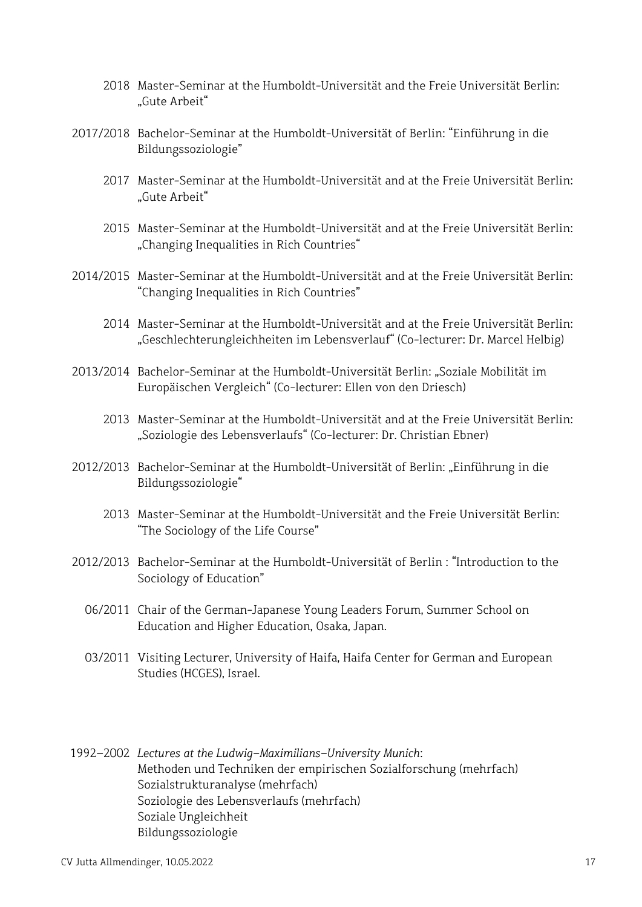- 2018 Master-Seminar at the Humboldt-Universität and the Freie Universität Berlin: "Gute Arbeit"
- 2017/2018 Bachelor-Seminar at the Humboldt-Universität of Berlin: "Einführung in die Bildungssoziologie"
	- 2017 Master-Seminar at the Humboldt-Universität and at the Freie Universität Berlin: "Gute Arbeit"
	- 2015 Master-Seminar at the Humboldt-Universität and at the Freie Universität Berlin: "Changing Inequalities in Rich Countries"
- 2014/2015 Master-Seminar at the Humboldt-Universität and at the Freie Universität Berlin: "Changing Inequalities in Rich Countries"
	- 2014 Master-Seminar at the Humboldt-Universität and at the Freie Universität Berlin: "Geschlechterungleichheiten im Lebensverlauf" (Co-lecturer: Dr. Marcel Helbig)
- 2013/2014 Bachelor-Seminar at the Humboldt-Universität Berlin: "Soziale Mobilität im Europäischen Vergleich" (Co-lecturer: Ellen von den Driesch)
	- 2013 Master-Seminar at the Humboldt-Universität and at the Freie Universität Berlin: "Soziologie des Lebensverlaufs" (Co-lecturer: Dr. Christian Ebner)
- 2012/2013 Bachelor-Seminar at the Humboldt-Universität of Berlin: "Einführung in die Bildungssoziologie"
	- 2013 Master-Seminar at the Humboldt-Universität and the Freie Universität Berlin: "The Sociology of the Life Course"
- 2012/2013 Bachelor-Seminar at the Humboldt-Universität of Berlin : "Introduction to the Sociology of Education"
	- 06/2011 Chair of the German-Japanese Young Leaders Forum, Summer School on Education and Higher Education, Osaka, Japan.
	- 03/2011 Visiting Lecturer, University of Haifa, Haifa Center for German and European Studies (HCGES), Israel.
- 1992–2002 *Lectures at the Ludwig-Maximilians-University Munich*: Methoden und Techniken der empirischen Sozialforschung (mehrfach) Sozialstrukturanalyse (mehrfach) Soziologie des Lebensverlaufs (mehrfach) Soziale Ungleichheit Bildungssoziologie